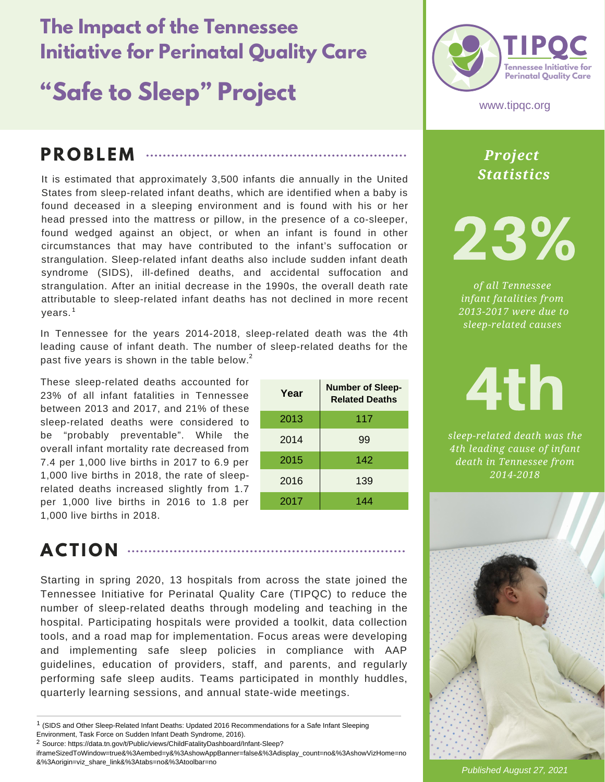# **The Impact of the Tennessee Initiative for Perinatal Quality Care**

# **"Safe to Sleep" Project**

#### **P R O BL EM**

It is estimated that approximately 3,500 infants die annually in the United States from sleep-related infant deaths, which are identified when a baby is found deceased in a sleeping environment and is found with his or her head pressed into the mattress or pillow, in the presence of a co-sleeper, found wedged against an object, or when an infant is found in other circumstances that may have contributed to the infant's suffocation or strangulation. Sleep-related infant deaths also include sudden infant death syndrome (SIDS), ill-defined deaths, and accidental suffocation and strangulation. After an initial decrease in the 1990s, the overall death rate attributable to sleep-related infant deaths has not declined in more recent years. 1

In Tennessee for the years 2014-2018, sleep-related death was the 4th leading cause of infant death. The number of sleep-related deaths for the past five years is shown in the table below. $^2$ 

These sleep-related deaths accounted for 23% of all infant fatalities in Tennessee between 2013 and 2017, and 21% of these sleep-related deaths were considered to be "probably preventable". While the overall infant mortality rate decreased from 7.4 per 1,000 live births in 2017 to 6.9 per 1,000 live births in 2018, the rate of sleeprelated deaths increased slightly from 1.7 per 1,000 live births in 2016 to 1.8 per 1,000 live births in 2018.

| Year | <b>Number of Sleep-</b><br><b>Related Deaths</b> |
|------|--------------------------------------------------|
| 2013 | 117                                              |
| 2014 | 99                                               |
| 2015 | 142                                              |
| 2016 | 139                                              |
| 2017 | 144                                              |



www.tipqc.org

*Project Statistics*

23%

*of all Tennessee infant fatalities from 2013-2017 were due to sleep-related causes*

4th *sleep-related death was the*

*4th leading cause of infant death in Tennessee from 2014-2018*

### **ACT I O N**

Starting in spring 2020, 13 hospitals from across the state joined the Tennessee Initiative for Perinatal Quality Care (TIPQC) to reduce the number of sleep-related deaths through modeling and teaching in the hospital. Participating hospitals were provided a toolkit, data collection tools, and a road map for implementation. Focus areas were developing and implementing safe sleep policies in compliance with AAP guidelines, education of providers, staff, and parents, and regularly performing safe sleep audits. Teams participated in monthly huddles, quarterly learning sessions, and annual state-wide meetings.

iframeSizedToWindow=true&%3Aembed=y&%3AshowAppBanner=false&%3Adisplay\_count=no&%3AshowVizHome=no &%3Aorigin=viz\_share\_link&%3Atabs=no&%3Atoolbar=no



*Published August 27, 2021*

 $1$  (SIDS and Other Sleep-Related Infant Deaths: Updated 2016 Recommendations for a Safe Infant Sleeping Environment, Task Force on Sudden Infant Death Syndrome, 2016).

<sup>&</sup>lt;sup>2</sup> Source: https://data.tn.gov/t/Public/views/ChildFatalityDashboard/Infant-Sleep?